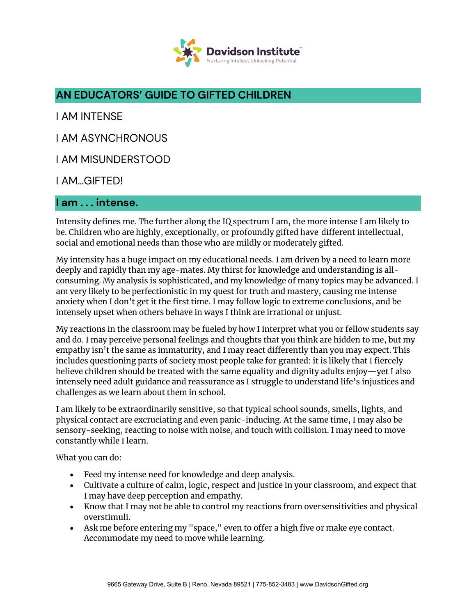

# **AN EDUCATORS' GUIDE TO GIFTED CHILDREN**

I AM INTENSE

I AM ASYNCHRONOUS

I AM MISUNDERSTOOD

I AM…GIFTED!

#### **I am . . . intense.**

Intensity defines me. The further along the IQ spectrum I am, the more intense I am likely to be. Children who are highly, exceptionally, or profoundly gifted have different intellectual, social and emotional needs than those who are mildly or moderately gifted.

My intensity has a huge impact on my educational needs. I am driven by a need to learn more deeply and rapidly than my age-mates. My thirst for knowledge and understanding is allconsuming. My analysis is sophisticated, and my knowledge of many topics may be advanced. I am very likely to be perfectionistic in my quest for truth and mastery, causing me intense anxiety when I don't get it the first time. I may follow logic to extreme conclusions, and be intensely upset when others behave in ways I think are irrational or unjust.

My reactions in the classroom may be fueled by how I interpret what you or fellow students say and do. I may perceive personal feelings and thoughts that you think are hidden to me, but my empathy isn't the same as immaturity, and I may react differently than you may expect. This includes questioning parts of society most people take for granted: it is likely that I fiercely believe children should be treated with the same equality and dignity adults enjoy—yet I also intensely need adult guidance and reassurance as I struggle to understand life's injustices and challenges as we learn about them in school.

I am likely to be extraordinarily sensitive, so that typical school sounds, smells, lights, and physical contact are excruciating and even panic-inducing. At the same time, I may also be sensory-seeking, reacting to noise with noise, and touch with collision. I may need to move constantly while I learn.

What you can do:

- Feed my intense need for knowledge and deep analysis.
- Cultivate a culture of calm, logic, respect and justice in your classroom, and expect that I may have deep perception and empathy.
- Know that I may not be able to control my reactions from oversensitivities and physical overstimuli.
- Ask me before entering my "space," even to offer a high five or make eye contact. Accommodate my need to move while learning.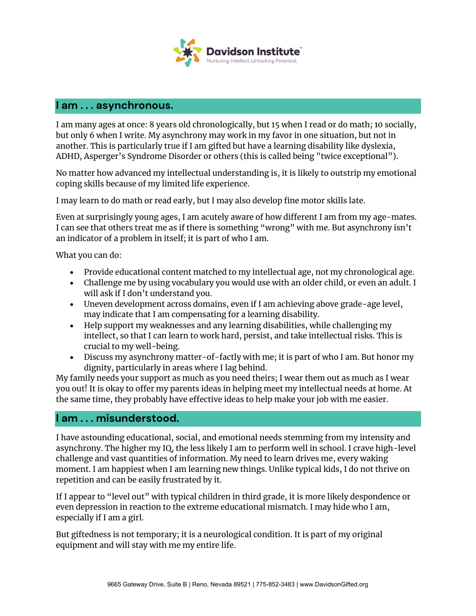

#### **I am . . . asynchronous.**

I am many ages at once: 8 years old chronologically, but 15 when I read or do math; 10 socially, but only 6 when I write. My asynchrony may work in my favor in one situation, but not in another. This is particularly true if I am gifted but have a learning disability like dyslexia, ADHD, Asperger's Syndrome Disorder or others (this is called being "twice exceptional").

No matter how advanced my intellectual understanding is, it is likely to outstrip my emotional coping skills because of my limited life experience.

I may learn to do math or read early, but I may also develop fine motor skills late.

Even at surprisingly young ages, I am acutely aware of how different I am from my age-mates. I can see that others treat me as if there is something "wrong" with me. But asynchrony isn't an indicator of a problem in itself; it is part of who I am.

What you can do:

- Provide educational content matched to my intellectual age, not my chronological age.
- Challenge me by using vocabulary you would use with an older child, or even an adult. I will ask if I don't understand you.
- Uneven development across domains, even if I am achieving above grade-age level, may indicate that I am compensating for a learning disability.
- Help support my weaknesses and any learning disabilities, while challenging my intellect, so that I can learn to work hard, persist, and take intellectual risks. This is crucial to my well-being.
- Discuss my asynchrony matter-of-factly with me; it is part of who I am. But honor my dignity, particularly in areas where I lag behind.

My family needs your support as much as you need theirs; I wear them out as much as I wear you out! It is okay to offer my parents ideas in helping meet my intellectual needs at home. At the same time, they probably have effective ideas to help make your job with me easier.

### **I am . . . misunderstood.**

I have astounding educational, social, and emotional needs stemming from my intensity and asynchrony. The higher my IQ, the less likely I am to perform well in school. I crave high-level challenge and vast quantities of information. My need to learn drives me, every waking moment. I am happiest when I am learning new things. Unlike typical kids, I do not thrive on repetition and can be easily frustrated by it.

If I appear to "level out" with typical children in third grade, it is more likely despondence or even depression in reaction to the extreme educational mismatch. I may hide who I am, especially if I am a girl.

But giftedness is not temporary; it is a neurological condition. It is part of my original equipment and will stay with me my entire life.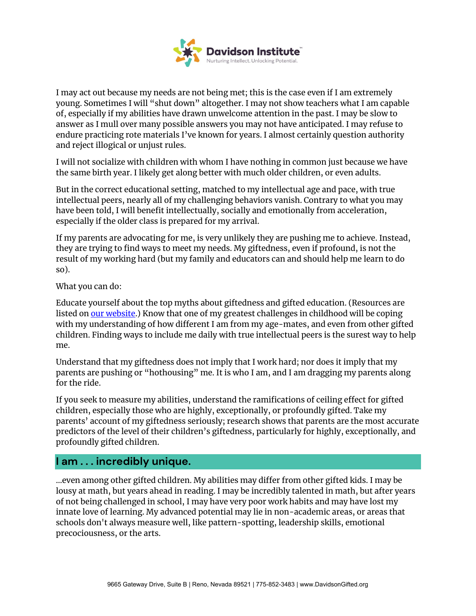

I may act out because my needs are not being met; this is the case even if I am extremely young. Sometimes I will "shut down" altogether. I may not show teachers what I am capable of, especially if my abilities have drawn unwelcome attention in the past. I may be slow to answer as I mull over many possible answers you may not have anticipated. I may refuse to endure practicing rote materials I've known for years. I almost certainly question authority and reject illogical or unjust rules.

I will not socialize with children with whom I have nothing in common just because we have the same birth year. I likely get along better with much older children, or even adults.

But in the correct educational setting, matched to my intellectual age and pace, with true intellectual peers, nearly all of my challenging behaviors vanish. Contrary to what you may have been told, I will benefit intellectually, socially and emotionally from acceleration, especially if the older class is prepared for my arrival.

If my parents are advocating for me, is very unlikely they are pushing me to achieve. Instead, they are trying to find ways to meet my needs. My giftedness, even if profound, is not the result of my working hard (but my family and educators can and should help me learn to do so).

What you can do:

Educate yourself about the top myths about giftedness and gifted education. (Resources are listed on [our website.](https://www.davidsongifted.org/resource-library/)) Know that one of my greatest challenges in childhood will be coping with my understanding of how different I am from my age-mates, and even from other gifted children. Finding ways to include me daily with true intellectual peers is the surest way to help me.

Understand that my giftedness does not imply that I work hard; nor does it imply that my parents are pushing or "hothousing" me. It is who I am, and I am dragging my parents along for the ride.

If you seek to measure my abilities, understand the ramifications of ceiling effect for gifted children, especially those who are highly, exceptionally, or profoundly gifted. Take my parents' account of my giftedness seriously; research shows that parents are the most accurate predictors of the level of their children's giftedness, particularly for highly, exceptionally, and profoundly gifted children.

## **I am . . . incredibly unique.**

...even among other gifted children. My abilities may differ from other gifted kids. I may be lousy at math, but years ahead in reading. I may be incredibly talented in math, but after years of not being challenged in school, I may have very poor work habits and may have lost my innate love of learning. My advanced potential may lie in non-academic areas, or areas that schools don't always measure well, like pattern-spotting, leadership skills, emotional precociousness, or the arts.